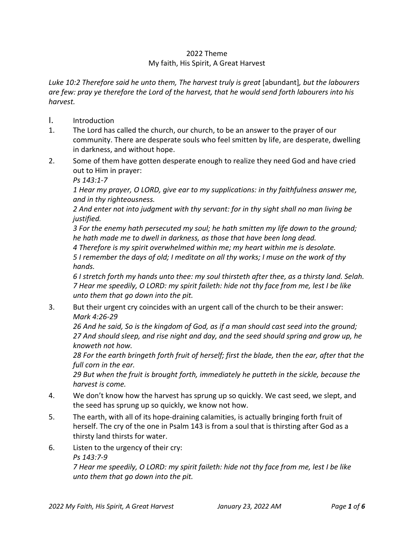## 2022 Theme My faith, His Spirit, A Great Harvest

*Luke 10:2 Therefore said he unto them, The harvest truly is great* [abundant]*, but the labourers are few: pray ye therefore the Lord of the harvest, that he would send forth labourers into his harvest.*

- I. Introduction
- 1. The Lord has called the church, our church, to be an answer to the prayer of our community. There are desperate souls who feel smitten by life, are desperate, dwelling in darkness, and without hope.
- 2. Some of them have gotten desperate enough to realize they need God and have cried out to Him in prayer:

*Ps 143:1-7*

*1 Hear my prayer, O LORD, give ear to my supplications: in thy faithfulness answer me, and in thy righteousness.*

*2 And enter not into judgment with thy servant: for in thy sight shall no man living be justified.*

*3 For the enemy hath persecuted my soul; he hath smitten my life down to the ground; he hath made me to dwell in darkness, as those that have been long dead.*

*4 Therefore is my spirit overwhelmed within me; my heart within me is desolate.*

*5 I remember the days of old; I meditate on all thy works; I muse on the work of thy hands.*

*6 I stretch forth my hands unto thee: my soul thirsteth after thee, as a thirsty land. Selah. 7 Hear me speedily, O LORD: my spirit faileth: hide not thy face from me, lest I be like unto them that go down into the pit.*

3. But their urgent cry coincides with an urgent call of the church to be their answer: *Mark 4:26-29*

*26 And he said, So is the kingdom of God, as if a man should cast seed into the ground; 27 And should sleep, and rise night and day, and the seed should spring and grow up, he knoweth not how.*

*28 For the earth bringeth forth fruit of herself; first the blade, then the ear, after that the full corn in the ear.*

*29 But when the fruit is brought forth, immediately he putteth in the sickle, because the harvest is come.*

- 4. We don't know how the harvest has sprung up so quickly. We cast seed, we slept, and the seed has sprung up so quickly, we know not how.
- 5. The earth, with all of its hope-draining calamities, is actually bringing forth fruit of herself. The cry of the one in Psalm 143 is from a soul that is thirsting after God as a thirsty land thirsts for water.
- 6. Listen to the urgency of their cry:

*Ps 143:7-9*

*7 Hear me speedily, O LORD: my spirit faileth: hide not thy face from me, lest I be like unto them that go down into the pit.*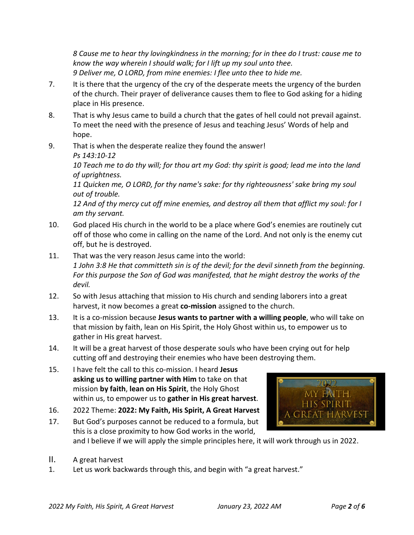*8 Cause me to hear thy lovingkindness in the morning; for in thee do I trust: cause me to know the way wherein I should walk; for I lift up my soul unto thee. 9 Deliver me, O LORD, from mine enemies: I flee unto thee to hide me.*

- 7. It is there that the urgency of the cry of the desperate meets the urgency of the burden of the church. Their prayer of deliverance causes them to flee to God asking for a hiding place in His presence.
- 8. That is why Jesus came to build a church that the gates of hell could not prevail against. To meet the need with the presence of Jesus and teaching Jesus' Words of help and hope.
- 9. That is when the desperate realize they found the answer! *Ps 143:10-12*

*10 Teach me to do thy will; for thou art my God: thy spirit is good; lead me into the land of uprightness.*

*11 Quicken me, O LORD, for thy name's sake: for thy righteousness' sake bring my soul out of trouble.*

*12 And of thy mercy cut off mine enemies, and destroy all them that afflict my soul: for I am thy servant.*

- 10. God placed His church in the world to be a place where God's enemies are routinely cut off of those who come in calling on the name of the Lord. And not only is the enemy cut off, but he is destroyed.
- 11. That was the very reason Jesus came into the world: *1 John 3:8 He that committeth sin is of the devil; for the devil sinneth from the beginning. For this purpose the Son of God was manifested, that he might destroy the works of the devil.*
- 12. So with Jesus attaching that mission to His church and sending laborers into a great harvest, it now becomes a great **co-mission** assigned to the church.
- 13. It is a co-mission because **Jesus wants to partner with a willing people**, who will take on that mission by faith, lean on His Spirit, the Holy Ghost within us, to empower us to gather in His great harvest.
- 14. It will be a great harvest of those desperate souls who have been crying out for help cutting off and destroying their enemies who have been destroying them.
- 15. I have felt the call to this co-mission. I heard **Jesus asking us to willing partner with Him** to take on that mission **by faith**, **lean on His Spirit**, the Holy Ghost within us, to empower us to **gather in His great harvest**.
- 16. 2022 Theme: **2022: My Faith, His Spirit, A Great Harvest**
- 17. But God's purposes cannot be reduced to a formula, but this is a close proximity to how God works in the world, and I believe if we will apply the simple principles here, it will work through us in 2022.
- $MYB$ HIS SPIRIT, a great harvest

- II. A great harvest
- 1. Let us work backwards through this, and begin with "a great harvest."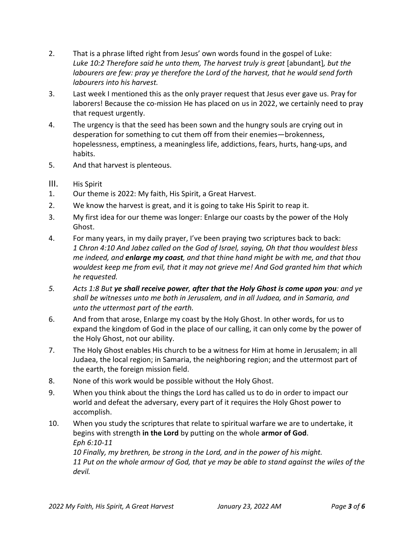- 2. That is a phrase lifted right from Jesus' own words found in the gospel of Luke: *Luke 10:2 Therefore said he unto them, The harvest truly is great* [abundant]*, but the labourers are few: pray ye therefore the Lord of the harvest, that he would send forth labourers into his harvest.*
- 3. Last week I mentioned this as the only prayer request that Jesus ever gave us. Pray for laborers! Because the co-mission He has placed on us in 2022, we certainly need to pray that request urgently.
- 4. The urgency is that the seed has been sown and the hungry souls are crying out in desperation for something to cut them off from their enemies—brokenness, hopelessness, emptiness, a meaningless life, addictions, fears, hurts, hang-ups, and habits.
- 5. And that harvest is plenteous.
- III. His Spirit
- 1. Our theme is 2022: My faith, His Spirit, a Great Harvest.
- 2. We know the harvest is great, and it is going to take His Spirit to reap it.
- 3. My first idea for our theme was longer: Enlarge our coasts by the power of the Holy Ghost.
- 4. For many years, in my daily prayer, I've been praying two scriptures back to back: *1 Chron 4:10 And Jabez called on the God of Israel, saying, Oh that thou wouldest bless me indeed, and enlarge my coast, and that thine hand might be with me, and that thou wouldest keep me from evil, that it may not grieve me! And God granted him that which he requested.*
- *5. Acts 1:8 But ye shall receive power, after that the Holy Ghost is come upon you: and ye shall be witnesses unto me both in Jerusalem, and in all Judaea, and in Samaria, and unto the uttermost part of the earth.*
- 6. And from that arose, Enlarge my coast by the Holy Ghost. In other words, for us to expand the kingdom of God in the place of our calling, it can only come by the power of the Holy Ghost, not our ability.
- 7. The Holy Ghost enables His church to be a witness for Him at home in Jerusalem; in all Judaea, the local region; in Samaria, the neighboring region; and the uttermost part of the earth, the foreign mission field.
- 8. None of this work would be possible without the Holy Ghost.
- 9. When you think about the things the Lord has called us to do in order to impact our world and defeat the adversary, every part of it requires the Holy Ghost power to accomplish.
- 10. When you study the scriptures that relate to spiritual warfare we are to undertake, it begins with strength **in the Lord** by putting on the whole **armor of God**. *Eph 6:10-11 10 Finally, my brethren, be strong in the Lord, and in the power of his might. 11 Put on the whole armour of God, that ye may be able to stand against the wiles of the devil.*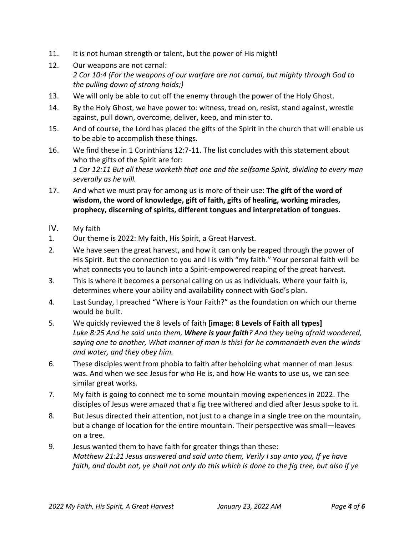- 11. It is not human strength or talent, but the power of His might!
- 12. Our weapons are not carnal: *2 Cor 10:4 (For the weapons of our warfare are not carnal, but mighty through God to the pulling down of strong holds;)*
- 13. We will only be able to cut off the enemy through the power of the Holy Ghost.
- 14. By the Holy Ghost, we have power to: witness, tread on, resist, stand against, wrestle against, pull down, overcome, deliver, keep, and minister to.
- 15. And of course, the Lord has placed the gifts of the Spirit in the church that will enable us to be able to accomplish these things.
- 16. We find these in 1 Corinthians 12:7-11. The list concludes with this statement about who the gifts of the Spirit are for: *1 Cor 12:11 But all these worketh that one and the selfsame Spirit, dividing to every man severally as he will.*
- 17. And what we must pray for among us is more of their use: **The gift of the word of wisdom, the word of knowledge, gift of faith, gifts of healing, working miracles, prophecy, discerning of spirits, different tongues and interpretation of tongues.**
- IV. My faith
- 1. Our theme is 2022: My faith, His Spirit, a Great Harvest.
- 2. We have seen the great harvest, and how it can only be reaped through the power of His Spirit. But the connection to you and I is with "my faith." Your personal faith will be what connects you to launch into a Spirit-empowered reaping of the great harvest.
- 3. This is where it becomes a personal calling on us as individuals. Where your faith is, determines where your ability and availability connect with God's plan.
- 4. Last Sunday, I preached "Where is Your Faith?" as the foundation on which our theme would be built.
- 5. We quickly reviewed the 8 levels of faith **[image: 8 Levels of Faith all types]** *Luke 8:25 And he said unto them, Where is your faith? And they being afraid wondered, saying one to another, What manner of man is this! for he commandeth even the winds and water, and they obey him.*
- 6. These disciples went from phobia to faith after beholding what manner of man Jesus was. And when we see Jesus for who He is, and how He wants to use us, we can see similar great works.
- 7. My faith is going to connect me to some mountain moving experiences in 2022. The disciples of Jesus were amazed that a fig tree withered and died after Jesus spoke to it.
- 8. But Jesus directed their attention, not just to a change in a single tree on the mountain, but a change of location for the entire mountain. Their perspective was small—leaves on a tree.
- 9. Jesus wanted them to have faith for greater things than these: *Matthew 21:21 Jesus answered and said unto them, Verily I say unto you, If ye have faith, and doubt not, ye shall not only do this which is done to the fig tree, but also if ye*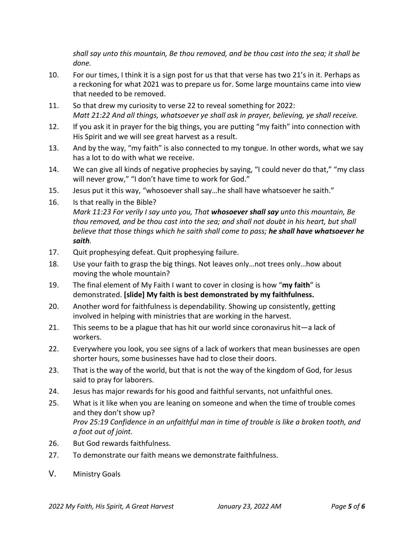*shall say unto this mountain, Be thou removed, and be thou cast into the sea; it shall be done.*

- 10. For our times, I think it is a sign post for us that that verse has two 21's in it. Perhaps as a reckoning for what 2021 was to prepare us for. Some large mountains came into view that needed to be removed.
- 11. So that drew my curiosity to verse 22 to reveal something for 2022: *Matt 21:22 And all things, whatsoever ye shall ask in prayer, believing, ye shall receive.*
- 12. If you ask it in prayer for the big things, you are putting "my faith" into connection with His Spirit and we will see great harvest as a result.
- 13. And by the way, "my faith" is also connected to my tongue. In other words, what we say has a lot to do with what we receive.
- 14. We can give all kinds of negative prophecies by saying, "I could never do that," "my class will never grow," "I don't have time to work for God."
- 15. Jesus put it this way, "whosoever shall say…he shall have whatsoever he saith."
- 16. Is that really in the Bible?

*Mark 11:23 For verily I say unto you, That whosoever shall say unto this mountain, Be thou removed, and be thou cast into the sea; and shall not doubt in his heart, but shall believe that those things which he saith shall come to pass; he shall have whatsoever he saith.*

- 17. Quit prophesying defeat. Quit prophesying failure.
- 18. Use your faith to grasp the big things. Not leaves only…not trees only…how about moving the whole mountain?
- 19. The final element of My Faith I want to cover in closing is how "**my faith**" is demonstrated. **[slide] My faith is best demonstrated by my faithfulness.**
- 20. Another word for faithfulness is dependability. Showing up consistently, getting involved in helping with ministries that are working in the harvest.
- 21. This seems to be a plague that has hit our world since coronavirus hit—a lack of workers.
- 22. Everywhere you look, you see signs of a lack of workers that mean businesses are open shorter hours, some businesses have had to close their doors.
- 23. That is the way of the world, but that is not the way of the kingdom of God, for Jesus said to pray for laborers.
- 24. Jesus has major rewards for his good and faithful servants, not unfaithful ones.
- 25. What is it like when you are leaning on someone and when the time of trouble comes and they don't show up? *Prov 25:19 Confidence in an unfaithful man in time of trouble is like a broken tooth, and a foot out of joint.*
- 26. But God rewards faithfulness.
- 27. To demonstrate our faith means we demonstrate faithfulness.
- V. Ministry Goals